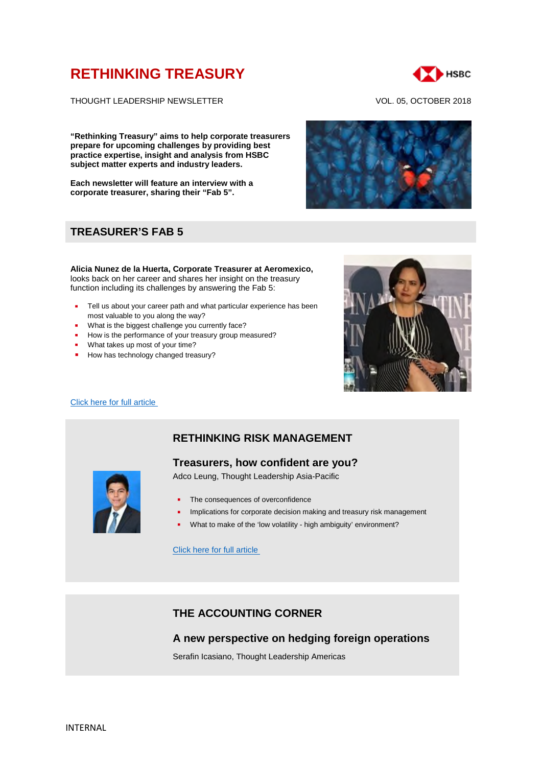# **RETHINKING TREASURY**



THOUGHT LEADERSHIP NEWSLETTER VOL. 05, OCTOBER 2018

**"Rethinking Treasury" aims to help corporate treasurers prepare for upcoming challenges by providing best practice expertise, insight and analysis from HSBC subject matter experts and industry leaders.**

**Each newsletter will feature an interview with a corporate treasurer, sharing their "Fab 5".**

# **TREASURER'S FAB 5**

**Alicia Nunez de la Huerta, Corporate Treasurer at Aeromexico,** looks back on her career and shares her insight on the treasury function including its challenges by answering the Fab 5:

- Tell us about your career path and what particular experience has been most valuable to you along the way?
- What is the biggest challenge you currently face?
- How is the performance of your treasury group measured?
- **What takes up most of your time?**
- How has technology changed treasury?



#### [Click here for full article](https://www.gbm.hsbc.com/insights/markets/in-conversation-with-treasurer-alicia-nunez-de-la-huerta)

# **RETHINKING RISK MANAGEMENT**

### **Treasurers, how confident are you?**

Adco Leung, Thought Leadership Asia-Pacific

- The consequences of overconfidence
- Implications for corporate decision making and treasury risk management
- What to make of the 'low volatility high ambiguity' environment?

[Click here for full article](https://www.gbm.hsbc.com/insights/markets/treasurers-how-overconfident-are-you)

# **THE ACCOUNTING CORNER**

### **A new perspective on hedging foreign operations**

Serafin Icasiano, Thought Leadership Americas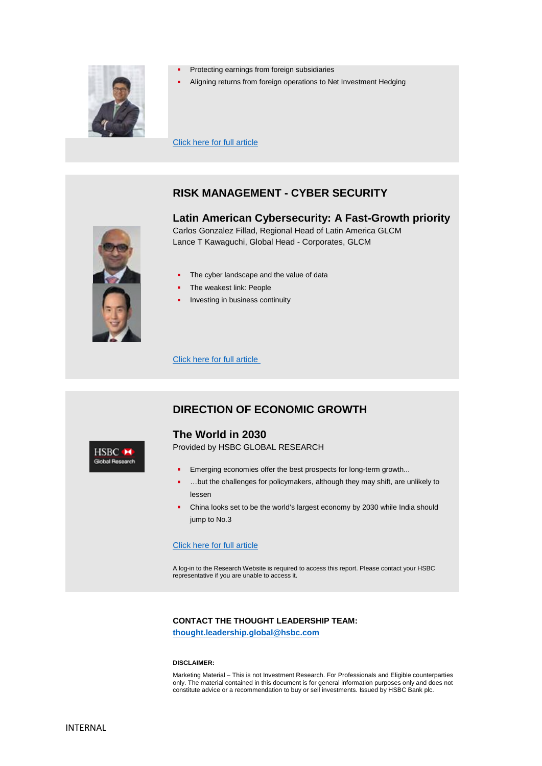

- Protecting earnings from foreign subsidiaries
- Aligning returns from foreign operations to Net Investment Hedging

[Click here for full article](https://www.gbm.hsbc.com/insights/markets/hedging-foreign-operations)

# **RISK MANAGEMENT - CYBER SECURITY**

### **Latin American Cybersecurity: A Fast-Growth priority**

Carlos Gonzalez Fillad, Regional Head of Latin America GLCM Lance T Kawaguchi, Global Head - Corporates, GLCM



HSBC M **Global Research** 

- The cyber landscape and the value of data
- The weakest link: People
- Investing in business continuity

[Click here for full article](https://www.gbm.hsbc.com/insights/global-liquidity-and-cash-management)

# **DIRECTION OF ECONOMIC GROWTH**

### **The World in 2030**

Provided by HSBC GLOBAL RESEARCH

- **Emerging economies offer the best prospects for long-term growth...**
- …but the challenges for policymakers, although they may shift, are unlikely to lessen
- China looks set to be the world's largest economy by 2030 while India should jump to No.3

#### [Click here for full article](https://www.research.hsbc.com/R/10/sQRpslJ2eHzt)

A log-in to the Research Website is required to access this report. Please contact your HSBC representative if you are unable to access it.

#### **CONTACT THE THOUGHT LEADERSHIP TEAM:**

**thought.leadership.global@hsbc.com**

#### **DISCLAIMER:**

Marketing Material – This is not Investment Research. For Professionals and Eligible counterparties only. The material contained in this document is for general information purposes only and does not constitute advice or a recommendation to buy or sell investments. Issued by HSBC Bank plc.